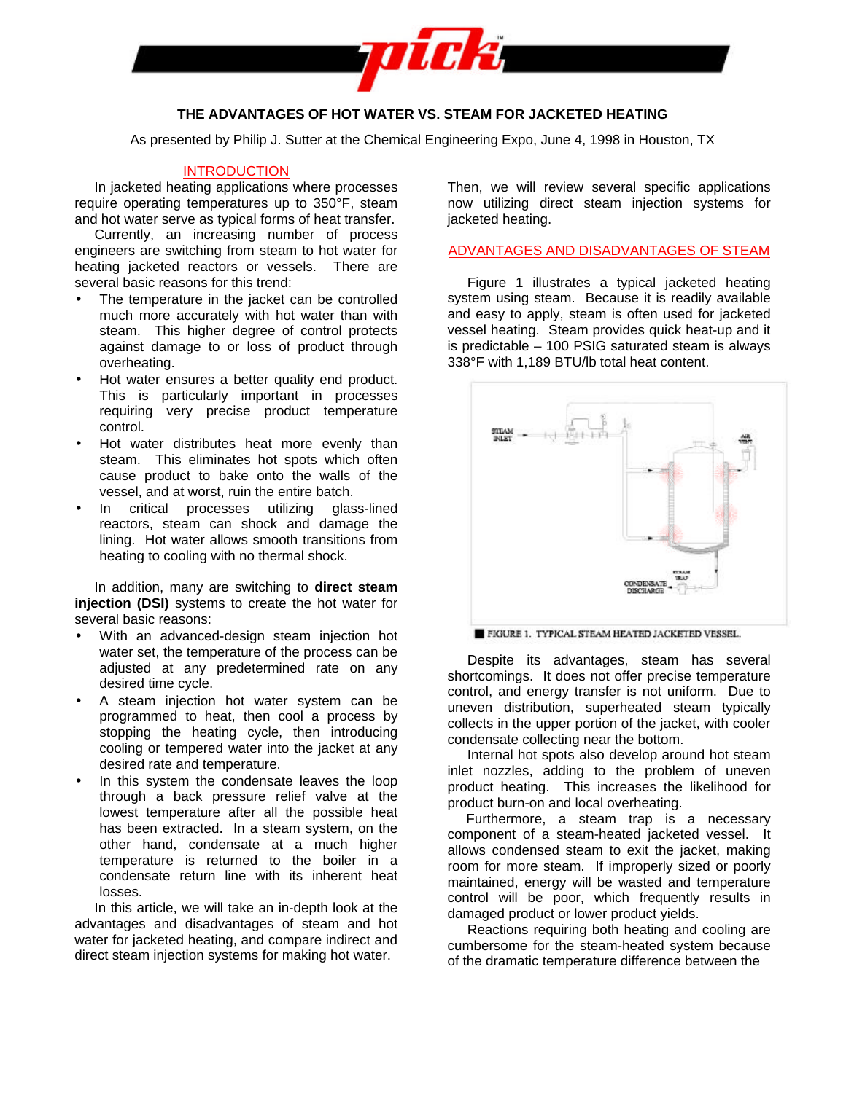

# **THE ADVANTAGES OF HOT WATER VS. STEAM FOR JACKETED HEATING**

As presented by Philip J. Sutter at the Chemical Engineering Expo, June 4, 1998 in Houston, TX

# INTRODUCTION

In jacketed heating applications where processes require operating temperatures up to 350°F, steam and hot water serve as typical forms of heat transfer.

Currently, an increasing number of process engineers are switching from steam to hot water for heating jacketed reactors or vessels. There are several basic reasons for this trend:

- The temperature in the jacket can be controlled much more accurately with hot water than with steam. This higher degree of control protects against damage to or loss of product through overheating.
- Hot water ensures a better quality end product. This is particularly important in processes requiring very precise product temperature control.
- Hot water distributes heat more evenly than steam. This eliminates hot spots which often cause product to bake onto the walls of the vessel, and at worst, ruin the entire batch.
- In critical processes utilizing glass-lined reactors, steam can shock and damage the lining. Hot water allows smooth transitions from heating to cooling with no thermal shock.

In addition, many are switching to **direct steam injection (DSI)** systems to create the hot water for several basic reasons:

- With an advanced-design steam injection hot water set, the temperature of the process can be adjusted at any predetermined rate on any desired time cycle.
- A steam injection hot water system can be programmed to heat, then cool a process by stopping the heating cycle, then introducing cooling or tempered water into the jacket at any desired rate and temperature.
- In this system the condensate leaves the loop through a back pressure relief valve at the lowest temperature after all the possible heat has been extracted. In a steam system, on the other hand, condensate at a much higher temperature is returned to the boiler in a condensate return line with its inherent heat losses.

In this article, we will take an in-depth look at the advantages and disadvantages of steam and hot water for jacketed heating, and compare indirect and direct steam injection systems for making hot water.

Then, we will review several specific applications now utilizing direct steam injection systems for jacketed heating.

## ADVANTAGES AND DISADVANTAGES OF STEAM

Figure 1 illustrates a typical jacketed heating system using steam. Because it is readily available and easy to apply, steam is often used for jacketed vessel heating. Steam provides quick heat-up and it is predictable – 100 PSIG saturated steam is always 338°F with 1,189 BTU/lb total heat content.



FIGURE 1. TYPICAL STEAM HEATED JACKETED VESSEL.

Despite its advantages, steam has several shortcomings. It does not offer precise temperature control, and energy transfer is not uniform. Due to uneven distribution, superheated steam typically collects in the upper portion of the jacket, with cooler condensate collecting near the bottom.

Internal hot spots also develop around hot steam inlet nozzles, adding to the problem of uneven product heating. This increases the likelihood for product burn-on and local overheating.

Furthermore, a steam trap is a necessary component of a steam-heated jacketed vessel. It allows condensed steam to exit the jacket, making room for more steam. If improperly sized or poorly maintained, energy will be wasted and temperature control will be poor, which frequently results in damaged product or lower product yields.

Reactions requiring both heating and cooling are cumbersome for the steam-heated system because of the dramatic temperature difference between the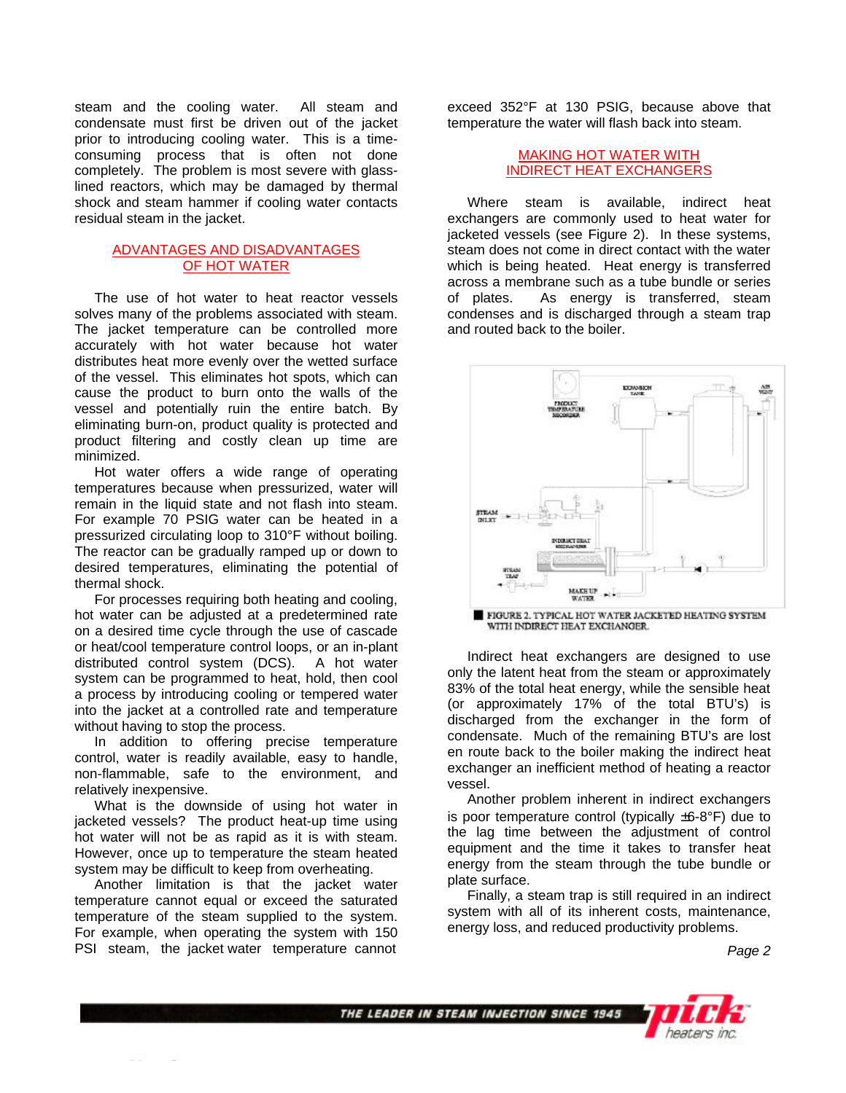steam and the cooling water. All steam and condensate must first be driven out of the jacket prior to introducing cooling water. This is a timeconsuming process that is often not done completely. The problem is most severe with glasslined reactors, which may be damaged by thermal shock and steam hammer if cooling water contacts residual steam in the jacket.

### ADVANTAGES AND DISADVANTAGES OF HOT WATER

The use of hot water to heat reactor vessels solves many of the problems associated with steam. The jacket temperature can be controlled more accurately with hot water because hot water distributes heat more evenly over the wetted surface of the vessel. This eliminates hot spots, which can cause the product to burn onto the walls of the vessel and potentially ruin the entire batch. By eliminating burn-on, product quality is protected and product filtering and costly clean up time are minimized.

Hot water offers a wide range of operating temperatures because when pressurized, water will remain in the liquid state and not flash into steam. For example 70 PSIG water can be heated in a pressurized circulating loop to 310°F without boiling. The reactor can be gradually ramped up or down to desired temperatures, eliminating the potential of thermal shock.

For processes requiring both heating and cooling, hot water can be adjusted at a predetermined rate on a desired time cycle through the use of cascade or heat/cool temperature control loops, or an in-plant distributed control system (DCS). A hot water system can be programmed to heat, hold, then cool a process by introducing cooling or tempered water into the jacket at a controlled rate and temperature without having to stop the process.

In addition to offering precise temperature control, water is readily available, easy to handle, non-flammable, safe to the environment, and relatively inexpensive.

What is the downside of using hot water in jacketed vessels? The product heat-up time using hot water will not be as rapid as it is with steam. However, once up to temperature the steam heated system may be difficult to keep from overheating.

Another limitation is that the jacket water temperature cannot equal or exceed the saturated temperature of the steam supplied to the system. For example, when operating the system with 150 PSI steam, the jacket water temperature cannot

exceed 352°F at 130 PSIG, because above that temperature the water will flash back into steam.

## MAKING HOT WATER WITH INDIRECT HEAT EXCHANGERS

Where steam is available, indirect heat exchangers are commonly used to heat water for jacketed vessels (see Figure 2). In these systems, steam does not come in direct contact with the water which is being heated. Heat energy is transferred across a membrane such as a tube bundle or series of plates. As energy is transferred, steam condenses and is discharged through a steam trap and routed back to the boiler.



FIGURE 2. TYPICAL HOT WATER JACKETED HEATING SYSTEM WITH INDIRECT HEAT EXCHANGER.

Indirect heat exchangers are designed to use only the latent heat from the steam or approximately 83% of the total heat energy, while the sensible heat (or approximately 17% of the total BTU's) is discharged from the exchanger in the form of condensate. Much of the remaining BTU's are lost en route back to the boiler making the indirect heat exchanger an inefficient method of heating a reactor vessel.

Another problem inherent in indirect exchangers is poor temperature control (typically  $\pm 6.8^{\circ}$ F) due to the lag time between the adjustment of control equipment and the time it takes to transfer heat energy from the steam through the tube bundle or plate surface.

Finally, a steam trap is still required in an indirect system with all of its inherent costs, maintenance, energy loss, and reduced productivity problems.

 *Page 2*

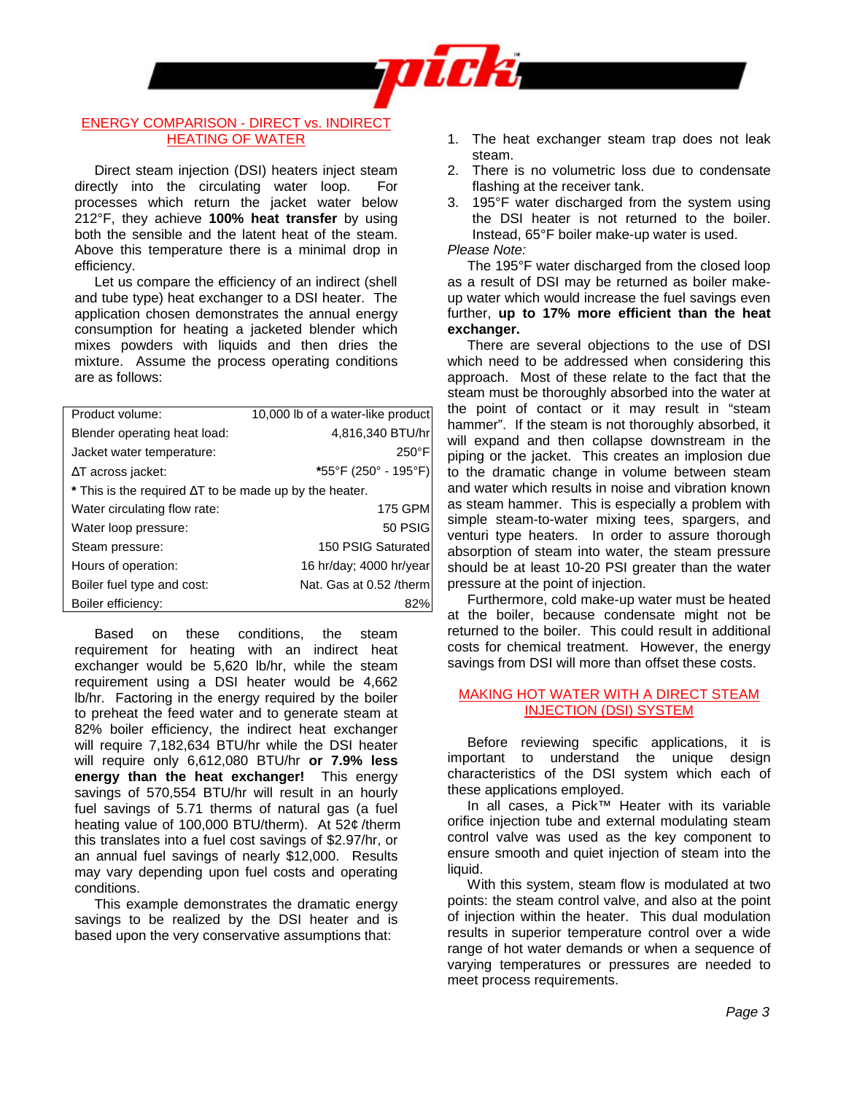

### ENERGY COMPARISON - DIRECT vs. INDIRECT HEATING OF WATER

Direct steam injection (DSI) heaters inject steam directly into the circulating water loop. For processes which return the jacket water below 212°F, they achieve **100% heat transfer** by using both the sensible and the latent heat of the steam. Above this temperature there is a minimal drop in efficiency.

Let us compare the efficiency of an indirect (shell and tube type) heat exchanger to a DSI heater. The application chosen demonstrates the annual energy consumption for heating a jacketed blender which mixes powders with liquids and then dries the mixture. Assume the process operating conditions are as follows:

| Product volume:                                                  | 10,000 lb of a water-like product |
|------------------------------------------------------------------|-----------------------------------|
| Blender operating heat load:                                     | 4,816,340 BTU/hr                  |
| Jacket water temperature:                                        | $250^{\circ}$ F                   |
| $\Delta T$ across jacket:                                        | *55°F (250° - 195°F)              |
| $*$ This is the required $\Delta T$ to be made up by the heater. |                                   |
| Water circulating flow rate:                                     | <b>175 GPM</b>                    |
| Water loop pressure:                                             | 50 PSIG                           |
| Steam pressure:                                                  | 150 PSIG Saturated                |
| Hours of operation:                                              | 16 hr/day; 4000 hr/year           |
| Boiler fuel type and cost:                                       | Nat. Gas at 0.52 /therm           |
| Boiler efficiency:                                               |                                   |

Based on these conditions, the steam requirement for heating with an indirect heat exchanger would be 5,620 lb/hr, while the steam requirement using a DSI heater would be 4,662 lb/hr. Factoring in the energy required by the boiler to preheat the feed water and to generate steam at 82% boiler efficiency, the indirect heat exchanger will require 7,182,634 BTU/hr while the DSI heater will require only 6,612,080 BTU/hr **or 7.9% less energy than the heat exchanger!** This energy savings of 570,554 BTU/hr will result in an hourly fuel savings of 5.71 therms of natural gas (a fuel heating value of 100,000 BTU/therm). At 52¢ /therm this translates into a fuel cost savings of \$2.97/hr, or an annual fuel savings of nearly \$12,000. Results may vary depending upon fuel costs and operating conditions.

This example demonstrates the dramatic energy savings to be realized by the DSI heater and is based upon the very conservative assumptions that:

- 1. The heat exchanger steam trap does not leak steam.
- 2. There is no volumetric loss due to condensate flashing at the receiver tank.
- 3. 195°F water discharged from the system using the DSI heater is not returned to the boiler. Instead, 65°F boiler make-up water is used.

*Please Note:*

The 195°F water discharged from the closed loop as a result of DSI may be returned as boiler makeup water which would increase the fuel savings even further, **up to 17% more efficient than the heat exchanger.**

There are several objections to the use of DSI which need to be addressed when considering this approach. Most of these relate to the fact that the steam must be thoroughly absorbed into the water at the point of contact or it may result in "steam hammer". If the steam is not thoroughly absorbed, it will expand and then collapse downstream in the piping or the jacket. This creates an implosion due to the dramatic change in volume between steam and water which results in noise and vibration known as steam hammer. This is especially a problem with simple steam-to-water mixing tees, spargers, and venturi type heaters. In order to assure thorough absorption of steam into water, the steam pressure should be at least 10-20 PSI greater than the water pressure at the point of injection.

Furthermore, cold make-up water must be heated at the boiler, because condensate might not be returned to the boiler. This could result in additional costs for chemical treatment. However, the energy savings from DSI will more than offset these costs.

### MAKING HOT WATER WITH A DIRECT STEAM INJECTION (DSI) SYSTEM

Before reviewing specific applications, it is important to understand the unique design characteristics of the DSI system which each of these applications employed.

In all cases, a Pick™ Heater with its variable orifice injection tube and external modulating steam control valve was used as the key component to ensure smooth and quiet injection of steam into the liquid.

With this system, steam flow is modulated at two points: the steam control valve, and also at the point of injection within the heater. This dual modulation results in superior temperature control over a wide range of hot water demands or when a sequence of varying temperatures or pressures are needed to meet process requirements.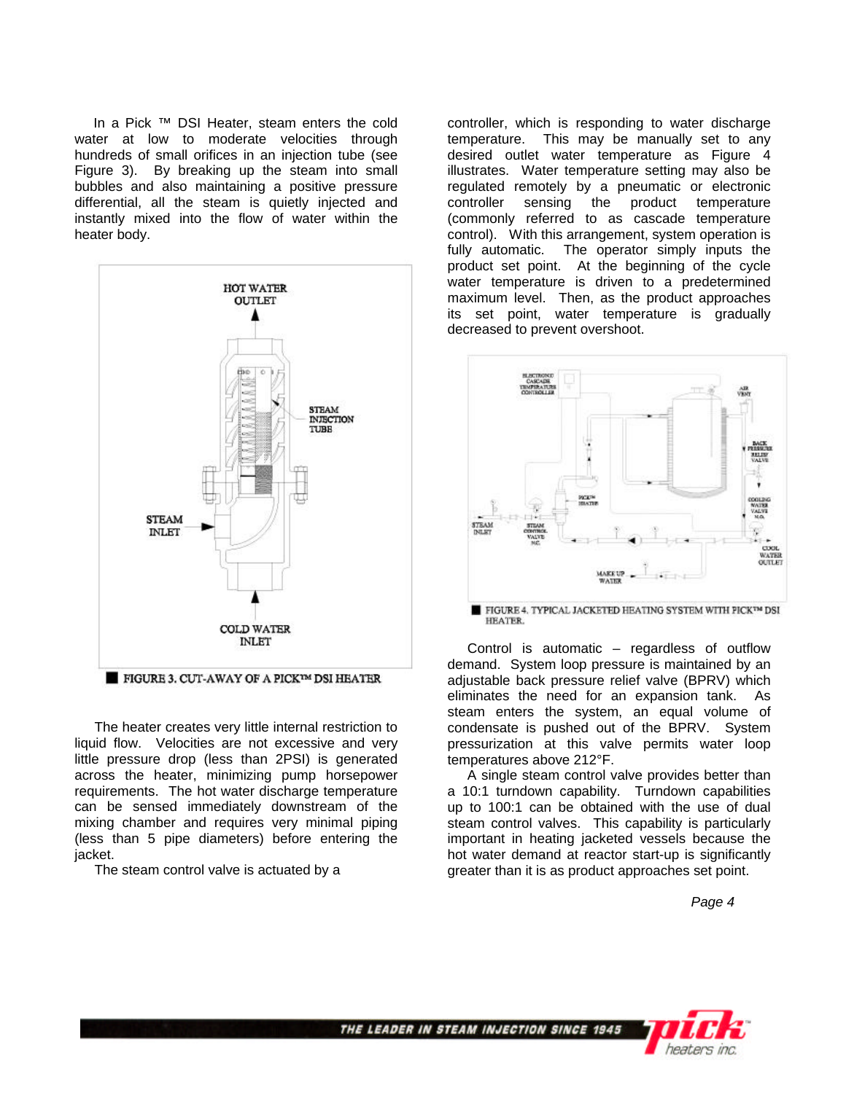In a Pick ™ DSI Heater, steam enters the cold water at low to moderate velocities through hundreds of small orifices in an injection tube (see Figure 3). By breaking up the steam into small bubbles and also maintaining a positive pressure differential, all the steam is quietly injected and instantly mixed into the flow of water within the heater body.



FIGURE 3. CUT-AWAY OF A PICKIM DSI HEATER

The heater creates very little internal restriction to liquid flow. Velocities are not excessive and very little pressure drop (less than 2PSI) is generated across the heater, minimizing pump horsepower requirements. The hot water discharge temperature can be sensed immediately downstream of the mixing chamber and requires very minimal piping (less than 5 pipe diameters) before entering the jacket.

The steam control valve is actuated by a

controller, which is responding to water discharge temperature. This may be manually set to any desired outlet water temperature as Figure 4 illustrates. Water temperature setting may also be regulated remotely by a pneumatic or electronic controller sensing the product temperature (commonly referred to as cascade temperature control). With this arrangement, system operation is fully automatic. The operator simply inputs the product set point. At the beginning of the cycle water temperature is driven to a predetermined maximum level. Then, as the product approaches its set point, water temperature is gradually decreased to prevent overshoot.



Control is automatic – regardless of outflow demand. System loop pressure is maintained by an adjustable back pressure relief valve (BPRV) which eliminates the need for an expansion tank. As steam enters the system, an equal volume of condensate is pushed out of the BPRV. System pressurization at this valve permits water loop temperatures above 212°F.

A single steam control valve provides better than a 10:1 turndown capability. Turndown capabilities up to 100:1 can be obtained with the use of dual steam control valves. This capability is particularly important in heating jacketed vessels because the hot water demand at reactor start-up is significantly greater than it is as product approaches set point.

*Page 4*



THE LEADER IN STEAM INJECTION SINCE 1945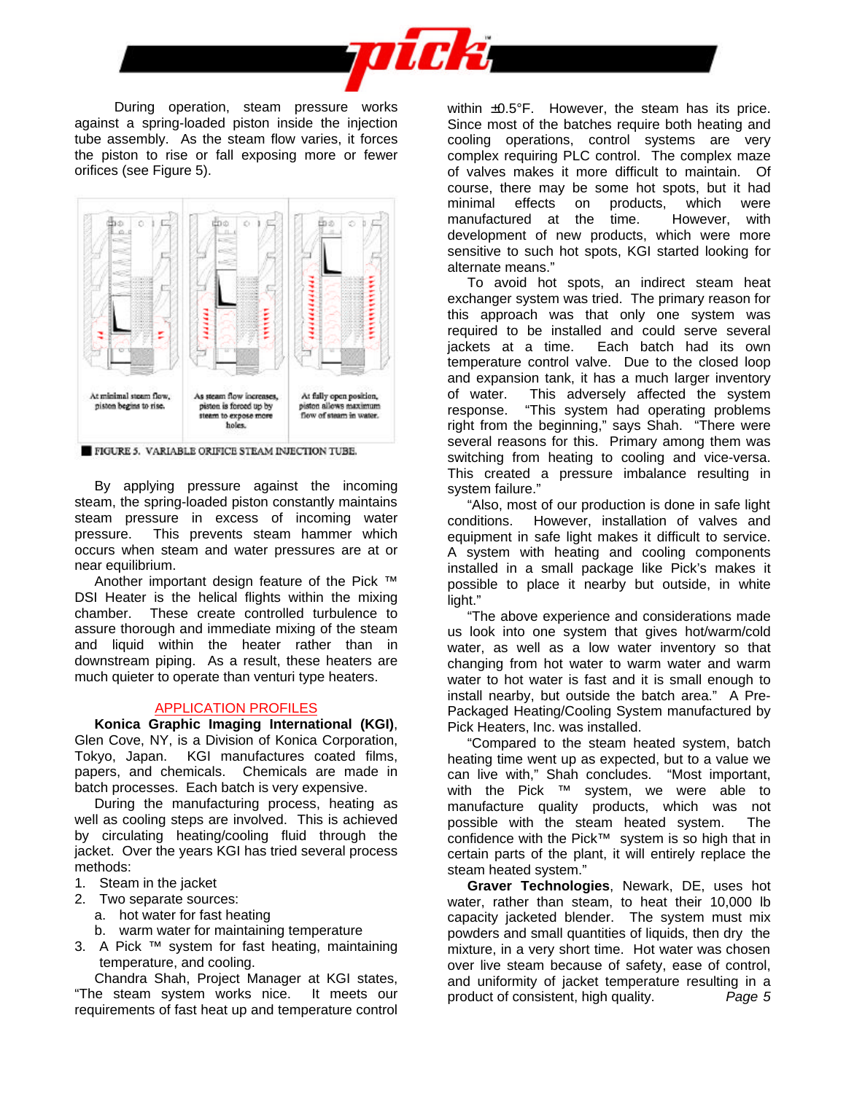

During operation, steam pressure works against a spring-loaded piston inside the injection tube assembly. As the steam flow varies, it forces the piston to rise or fall exposing more or fewer orifices (see Figure 5).



FIGURE 5. VARIABLE ORIFICE STEAM INJECTION TUBE.

By applying pressure against the incoming steam, the spring-loaded piston constantly maintains steam pressure in excess of incoming water pressure. This prevents steam hammer which occurs when steam and water pressures are at or near equilibrium.

Another important design feature of the Pick ™ DSI Heater is the helical flights within the mixing chamber. These create controlled turbulence to assure thorough and immediate mixing of the steam and liquid within the heater rather than in downstream piping. As a result, these heaters are much quieter to operate than venturi type heaters.

### APPLICATION PROFILES

**Konica Graphic Imaging International (KGI)**, Glen Cove, NY, is a Division of Konica Corporation, Tokyo, Japan. KGI manufactures coated films, papers, and chemicals. Chemicals are made in batch processes. Each batch is very expensive.

During the manufacturing process, heating as well as cooling steps are involved. This is achieved by circulating heating/cooling fluid through the jacket. Over the years KGI has tried several process methods:

- 1. Steam in the jacket
- 2. Two separate sources:
	- a. hot water for fast heating
	- b. warm water for maintaining temperature
- 3. A Pick ™ system for fast heating, maintaining temperature, and cooling.

Chandra Shah, Project Manager at KGI states, "The steam system works nice. It meets our requirements of fast heat up and temperature control within ±0.5°F. However, the steam has its price. Since most of the batches require both heating and cooling operations, control systems are very complex requiring PLC control. The complex maze of valves makes it more difficult to maintain. Of course, there may be some hot spots, but it had minimal effects on products, which were manufactured at the time. However, with development of new products, which were more sensitive to such hot spots, KGI started looking for alternate means."

To avoid hot spots, an indirect steam heat exchanger system was tried. The primary reason for this approach was that only one system was required to be installed and could serve several jackets at a time. Each batch had its own temperature control valve. Due to the closed loop and expansion tank, it has a much larger inventory of water. This adversely affected the system response. "This system had operating problems right from the beginning," says Shah. "There were several reasons for this. Primary among them was switching from heating to cooling and vice-versa. This created a pressure imbalance resulting in system failure."

"Also, most of our production is done in safe light conditions. However, installation of valves and equipment in safe light makes it difficult to service. A system with heating and cooling components installed in a small package like Pick's makes it possible to place it nearby but outside, in white light."

"The above experience and considerations made us look into one system that gives hot/warm/cold water, as well as a low water inventory so that changing from hot water to warm water and warm water to hot water is fast and it is small enough to install nearby, but outside the batch area." A Pre-Packaged Heating/Cooling System manufactured by Pick Heaters, Inc. was installed.

"Compared to the steam heated system, batch heating time went up as expected, but to a value we can live with," Shah concludes. "Most important, with the Pick ™ system, we were able to manufacture quality products, which was not possible with the steam heated system. The confidence with the Pick™ system is so high that in certain parts of the plant, it will entirely replace the steam heated system."

**Graver Technologies**, Newark, DE, uses hot water, rather than steam, to heat their 10,000 lb capacity jacketed blender. The system must mix powders and small quantities of liquids, then dry the mixture, in a very short time. Hot water was chosen over live steam because of safety, ease of control, and uniformity of jacket temperature resulting in a product of consistent, high quality. *Page 5*